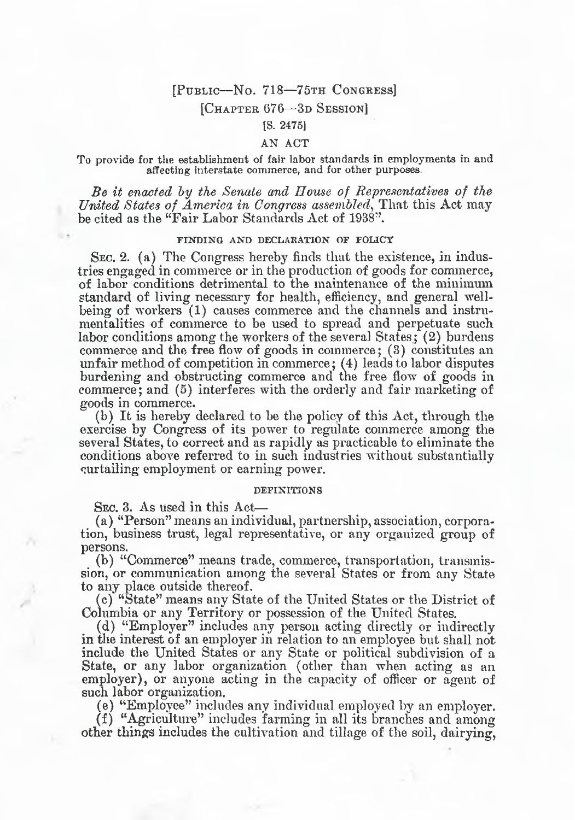# [Public—No. 718—75th Congress]

## [Chapter 676—3<sup>d</sup> Session]

## [S. 2475]

### AN ACT

To provide for the establishment of fair labor standards in employments in and affecting interstate commerce, and for other purposes.

*Be it enacted l>y the Senate and House of Representatives of the United States of America in Congress assembled,* That this Act may be cited as the "Fair Labor Standards Act of 1938".

## **FINDING AND DECLARATION OF POLICY**

Sec. 2. (a) The Congress hereby finds that the existence, in industries engaged in commerce or in the production of goods for commerce, of labor conditions detrimental to the maintenance of the minimum standard of living necessary for health, efficiency, and general wellbeing of workers (1) causes commerce and the channels and instrumentalities of commerce to be used to spread and perpetuate such labor conditions among the workers of the several States; (2) burdens commerce and the free flow of goods in commerce; (3) constitutes an unfair method of competition in commerce; (4) leads to labor disputes burdening and obstructing commerce and the free flow of goods in commerce; and (5) interferes with the orderly and fair marketing of goods in commerce.

(b) It is hereby declared to be the policy of this Act, through the exercise by Congress of its power to regulate commerce among the several States, to correct and as rapidly as practicable to eliminate the conditions above referred to in such industries without substantially curtailing employment or earning power.

#### **DEFINITIONS**

Sec. 3. As used in this Act—

(a) "Person" means an individual, partnership, association, corporation, business trust, legal representative, or any organized group of persons.

(b) "Commerce" means trade, commerce, transportation, transmission, or conununication among the several States or from any State to any place outside thereof.

(c) "State" means any State of the United States or the District of Columbia or any Territory or possession of the United States.

(d) "Employer" includes any person acting directly or indirectly in the interest of an employer in relation to an employee but shall not include the United States or any State or political subdivision of a State, or any labor organization (other than when acting as an employer), or anyone acting in the capacity of officer or agent of such labor organization.

(e) "Employee" includes any individual employed by an employer.

(f) "Agriculture" includes farming in all its branches and among other things includes the cultivation and tillage of the soil, dairying,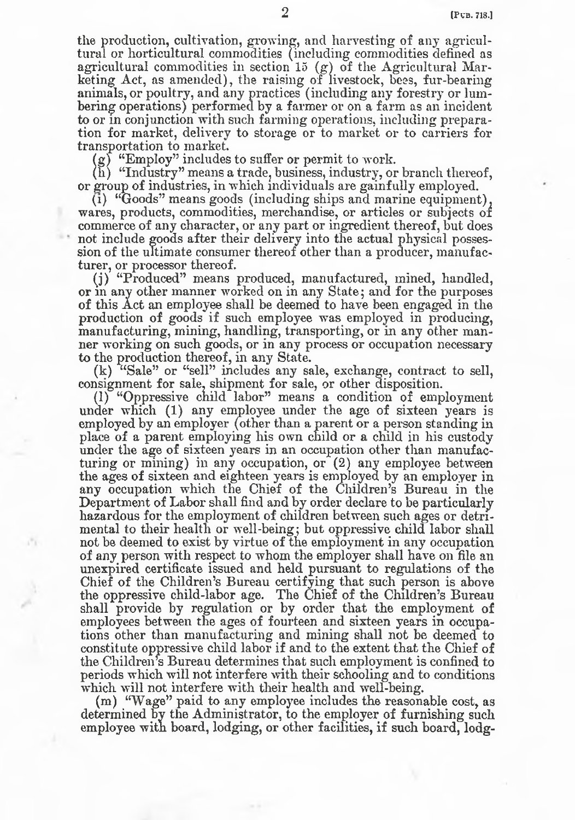the production, cultivation, growing, and harvesting of any agricultural or horticultural commodities (including commodities defined as agricultural commodities in section 15  $(g)$  of the Agricultural Marketing Act, as amended), the raising of livestock, bees, fur-bearing animals, or poultry, and any practices (including any forestry or lumbering operations) performed by a farmer or on a farm as an incident to or in conjunction with such farming operations, including preparation for market, delivery to storage or to market or to carriers for transportation to market.

 $(g)$  "Employ" includes to suffer or permit to work.

 $(h)$  "Industry" means a trade, business, industry, or branch thereof, or group of industries, in which individuals are gainfully employed.

(i) "Goods" means goods (including ships and marine equipment), wares, products, commodities, merchandise, or articles or subjects of commerce of any character, or any part or ingredient thereof, but does not include goods after their delivery into the actual physical possession of the ultimate consumer thereof other than a producer, manufacturer, or processor thereof.

(j) "Produced" means produced, manufactured, mined, handled, or in any other manner worked on in any State; and for the purposes of this Act an employee shall be deemed to have been engaged in the production of goods if such employee was employed in producing, manufacturing, mining, handling, transporting, or in any other manner working on such goods, or in any process or occupation necessary to the production thereof, in any State.

(k) "Sale" or "sell" includes any sale, exchange, contract to sell, consignment for sale, shipment for sale, or other disposition.

(l) "Oppressive child labor" means a condition of employment under which (1) any employee under the age of sixteen years is employed by an employer (other than a parent or a person standing in place of a parent employing his own child or a child in his custody under the age of sixteen years in an occupation other than manufacturing or mining) in any occupation, or (2) any employee between the ages of sixteen and eighteen years is employed by an employer in any occupation which the Chief of the Children's Bureau in the Department of Labor shall find and by order declare to be particularly hazardous for the employment of children between such ages or detrimental to their health or well-being; but oppressive child labor shall not be deemed to exist by virtue of the employment in any occupation of any person with respect to whom the employer shall have on file an unexpired certificate issued and held pursuant to regulations of the Chief of the Children's Bureau certifying that such person is above the oppressive child-labor age. The Chief of the Children's Bureau shall provide by regulation or by order that the employment of employees between the ages of fourteen and sixteen years in occupations other than manufacturing and mining shall not be deemed to constitute oppressive child labor if and to the extent that the Chief of the Children's Bureau determines that such employment is confined to periods which will not interfere with their schooling and to conditions which will not interfere with their health and well-being.

(m) "Wage" paid to any employee includes the reasonable cost, as determined by the Administrator, to the employer of furnishing such employee with board, lodging, or other facilities, if such board, lodg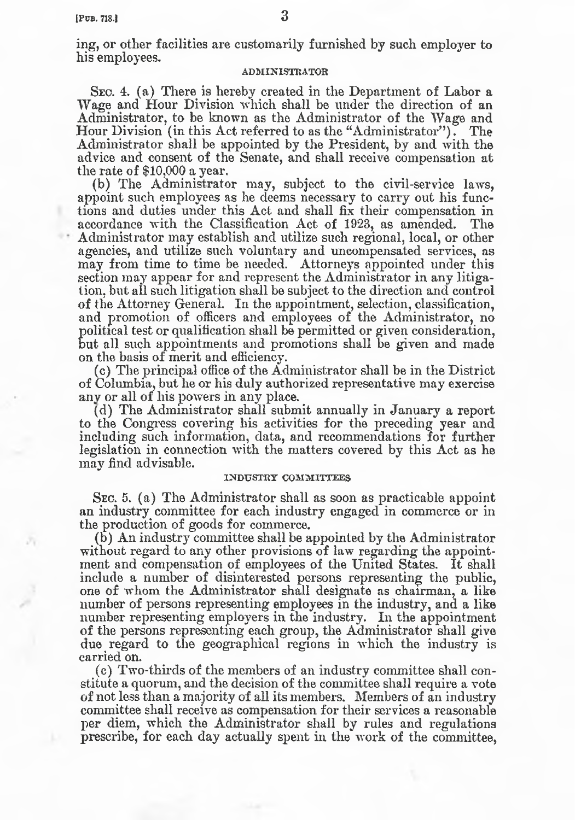$\pm$  .

ing, or other facilities are customarily furnished by such employer to his employees.

## **ADMINISTRATOR**

Sec. 4. (a) There is hereby created in the Department of Labor a Wage and Hour Division which shall be under the direction of an Administrator, to be known as the Administrator of the Wage and Hour Division (in this Act referred to as the "Administrator"). The Administrator shall be appointed by the President, by and with the advice and consent of the Senate, and shall receive compensation at the rate of \$10,000 a year.

(b) The Administrator may, subject to the civil-service laws, appoint such employees as he deems necessary to carry out his functions and duties under this Act and shall fix their compensation in accordance with the Classification Act of 1923, as amended. The Administrator may establish and utilize such regional, local, or other agencies, and utilize such voluntary and uncompensated services, as may from time to time be needed. Attorneys appointed under this section may appear for and represent the Administrator in any litigation, but all such litigation shall be subject to the direction and control of the Attorney General. In the appointment, selection, classification, and promotion of officers and employees of the Administrator, no political test or qualification shall be permitted or given consideration, but all such appointments and promotions shall be given and made on the basis of merit and efficiency.

(c) The principal office of the Administrator shall be in the District of Columbia, but he or his duly authorized representative may exercise any or all of his powers in any place.

(d) The Administrator shall submit annually in January a report to the Congress covering his activities for the preceding year and including such information, data, and recommendations for further legislation in connection with the matters covered by this Act as he may find advisable.

## **INDUSTRY COMMITTEES**

Sec. 5. (a) The Administrator shall as soon as practicable appoint an industry committee for each industry engaged in commerce or in the production of goods for commerce.

(b) An industry committee shall be appointed by the Administrator without regard to any other provisions of law regarding the appointment and compensation of employees of the United States. It shall include a number of disinterested persons representing the public, one of whom the Administrator shall designate as chairman, a like number of persons representing employees in the industry, and a like number representing employers in the industry. In the appointment of the persons representing each group, the Administrator shall give due regard to the geographical regions in which the industry is carried on.

(c) Two-thirds of the members of an industry committee shall constitute a quorum, and the decision of the committee shall require a vote of not less than a majority of all its members. Members of an industry committee shall receive as compensation for their services a reasonable per diem, which the Administrator shall by rules and regulations prescribe, for each day actually spent in the work of the committee,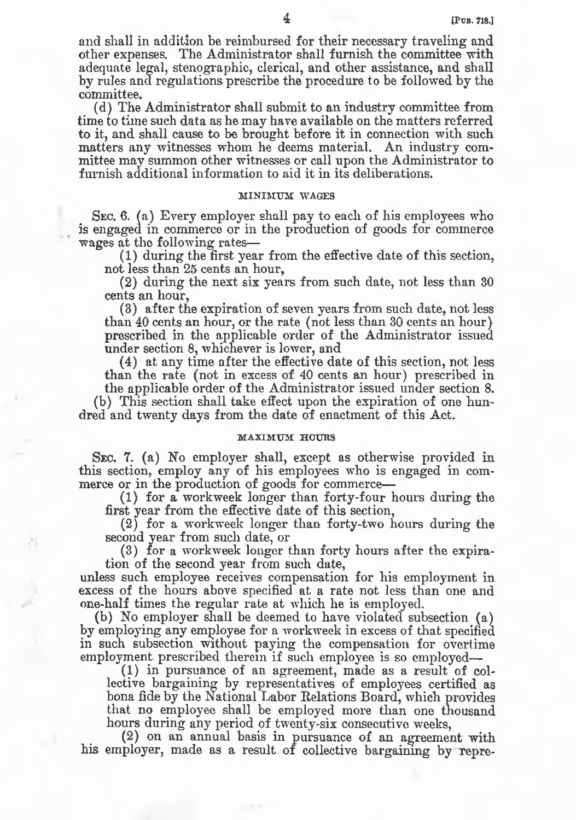and shall in addition be reimbursed for their necessary traveling and other expenses. The Administrator shall furnish the committee with adequate legal, stenographic, clerical, and other assistance, and shall by rules and regulations prescribe the procedure to be followed by the committee.

(d) The Administrator shall submit to an industry committee from time to time such data as he may have available on the matters referred to it, and shall cause to be brought before it in connection with such matters any witnesses whom he deems material. An industry committee may summon other witnesses or call upon the Administrator to furnish additional information to aid it in its deliberations.

### **MINIMUM WAGES**

Sec. 6. (a) Every employer shall pay to each of his employees who is engaged in commerce or in the production of goods for commerce wages at the following rates—

(1) during the first year from the effective date of this section, not less than 25 cents an hour,

(2) during the next six years from such date, not less than 30 cents an hour,

(3) after the expiration of seven years from such date, not less than 40 cents an hour, or the rate (not less than 30 cents an hour) prescribed in the applicable order of the Administrator issued under section 8, whichever is lower, and

(4) at any time after the effective date of this section, not less than the rate (not in excess of 40 cents an hour) prescribed in

the applicable order of the Administrator issued under section 8. (b) This section shall take effect upon the expiration of one hundred and twenty days from the date of enactment of this Act.

## **MAXIMUM HOURS**

Sec. 7. (a) No employer shall, except as otherwise provided in this section, employ any of his employees who is engaged in commerce or in the production of goods for commerce—

(1) for a workweek longer than forty-four hours during the first year from the effective date of this section,

(2) for a workweek longer than forty-two hours during the second year from such date, or

(3) for a workweek longer than forty hours after the expiration of the second year from such date,

unless such employee receives compensation for his employment in excess of the hours above specified at a rate not less than one and one-half times the regular rate at which he is employed.

(b) No employer shall be deemed to have violated subsection (a) by employing any employee for a workweek in excess of that specified in such subsection without paying the compensation for overtime employment prescribed therein if such employee is so employed—

(1) in pursuance of an agreement, made as a result of collective bargaining by representatives of employees certified as bona fide by the National Labor Relations Board, which provides that no employee shall be employed more than one thousand hours during any period of twenty-six consecutive weeks,

(2) on an annual basis in pursuance of an agreement with his employer, made as a result of collective bargaining by Tepre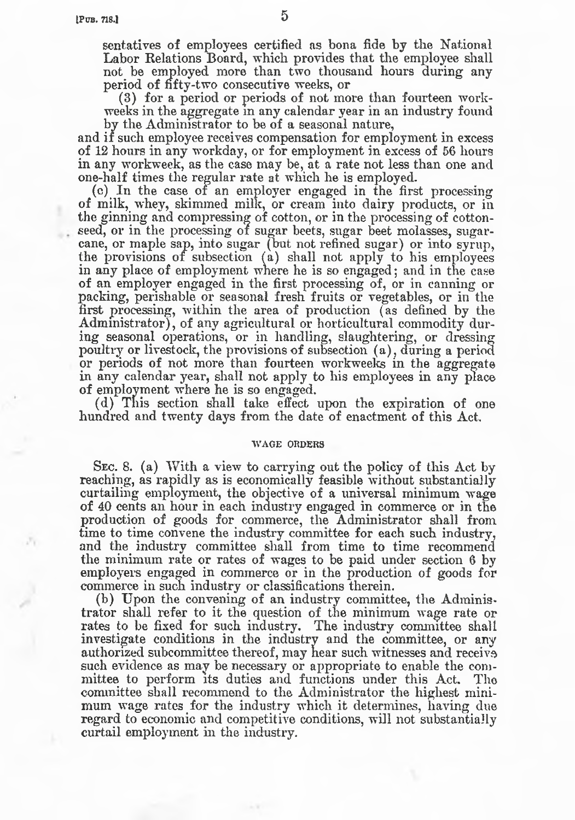sentatives of employees certified as bona fide by the National Labor Relations Board, which provides that the employee shall not be employed more than two thousand hours during any period of fifty-two consecutive weeks, or

(3) for a period or periods of not more than fourteen workweeks in the aggregate in any calendar year in an industry found by the Administrator to be of a seasonal nature,

and if such employee receives compensation for employment in excess of 12 hours in any workday, or for employment in excess of 56 hours in any workweek, as the case may be, at a rate not less than one and one-half times the regular rate at which he is employed.

(c) In the case of an employer engaged in the first processing of milk, whey, skimmed milk, or cream into dairy products, or in the ginning and compressing of cotton, or in the processing of cottonseed, or in the processing of sugar beets, sugar beet molasses, sugarcane, or maple sap, into sugar (but not refined sugar) or into syrup, the provisions of subsection (a) shall not apply to his employees in any place of employment where he is so engaged; and in the case of an employer engaged in the first processing of, or in canning or packing, perishable or seasonal fresh fruits or vegetables, or in the first processing, within the area of production (as defined by the Administrator), of any agricultural or horticultural commodity during seasonal operations, or in handling, slaughtering, or dressing poultry or livestock, the provisions of subsection (a), during a period or periods of not more than fourteen workweeks m the aggregate in any calendar year, shall not apply to his employees in any place of employment where he is so engaged.

(d) This section shall take effect upon the expiration of one hundred and twenty days from the date of enactment of this Act.

### **W'AGE ORDERS**

Sec, 8. (a) With a view to carrying out the policy of this Act by reaching, as rapidly as is economically feasible without substantially curtailing employment, the objective of a universal minimum wage of 40 cents an hour in each industry engaged in commerce or in the production of goods for commerce, the Administrator shall from time to time convene the industry committee for each such industry, and the industry committee shall from time to time recommend the minimum rate or rates of wages to be paid under section 6 by employers engaged in commerce or in the production of goods for commerce in such industry or classifications therein.

(b) Upon the convening of an industry committee, the Administrator shall refer to it the question of the minimum wage rate or rates to be fixed for such industry. The industry committee shall investigate conditions in the industry and the committee, or any authorized subcommittee thereof, may hear such witnesses and receive such evidence as may be necessary or appropriate to enable the committee to perform its duties and functions under this Act. Tho committee shall recommend to the Administrator the highest minimum wage rates for the industry which it determines, having due regard to economic and competitive conditions, will not substantially curtail employment in the industry.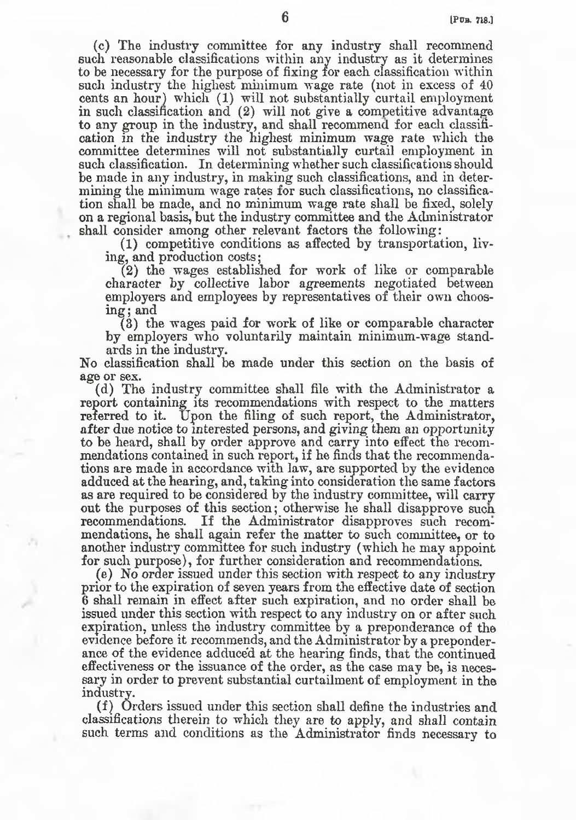(c) The industry committee for any industry shall recommend such reasonable classifications within any industry as it determines to be necessary for the purpose of fixing for each classification within such industry the highest minimum wage rate (not in excess of 40 cents an hour) which (1) will not substantially curtail employment in such classification and (2) will not give a competitive advantage to any group in the industry, and shall recommend for each classification in the industry the highest minimum wage rate which the committee determines will not substantially curtail employment in such classification. In determining whether such classifications should be made in any industry, in making such classifications, and in determining the minimum wage rates for such classifications, no classification shall be made, and no minimum wage rate shall be fixed, solely on a regional basis, but the industry committee and the Administrator shall consider among other relevant factors the following:

(1) competitive conditions as affected by transportation, living, and production costs;

(2) the wages established for work of like or comparable character by collective labor agreements negotiated between employers and employees by representatives of their own choosing ; and

(3) the wages paid for work of like or comparable character by employers who voluntarily maintain minimum-wage standards in the industry.

No classification shall be made under this section on the basis of age or sex.

(d) The industry committee shall file with the Administrator a report containing its recommendations with respect to the matters referred to it. Upon the filing of such report, the Administrator, after due notice to interested persons, and giving them an opportunity to be heard, shall by order approve and carry into effect the recommendations contained in such report, if he finds that the recommendations are made in accordance with law, are supported by the evidence adduced at the hearing, and, taking into consideration the same factors as are required to be considered by the industry committee, will carry out the purposes of this section; otherwise he shall disapprove sucn recommendations. If the Administrator disapproves such recommendations, he shall again refer the matter to such committee, or to another industry committee for such industry (which he may appoint for such purpose), for further consideration and recommendations.

(e) No order issued under this section with respect to any industry prior to the expiration of seven years from the effective date of section 6 shall remain in effect after such expiration, and no order shall be issued under this section with respect to any industry on or after such expiration, unless the industry committee by a preponderance of the evidence before it recommends, and the Administrator by a preponderance of the evidence adduced at the hearing finds, that the continued effectiveness or the issuance of the order, as the case may be, is necessary in order to prevent substantial curtailment of employment in the industry.

(f) Orders issued under this section shall define the industries and classifications therein to which they are to apply, and shall contain such terms and conditions as the Administrator finds necessary to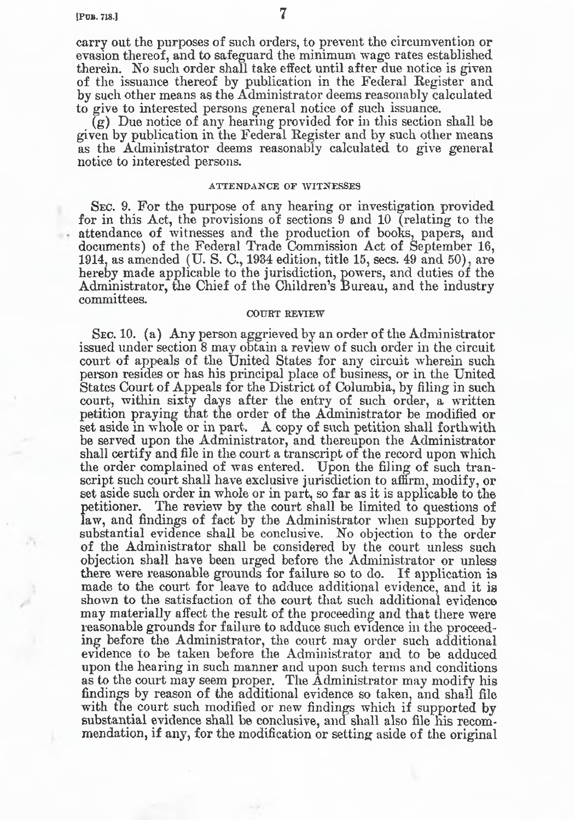[Pub. **718.]** 7

 $\ddot{\phantom{1}}$ 

carry out the purposes of such orders, to prevent the circumvention or evasion thereof, and to safeguard the minimum wage rates established therein. No such order shall take effect until after due notice is given of the issuance thereof by publication in the Federal Register and by such other means as the Administrator deems reasonably calculated to give to interested persons general notice of such issuance.

(g) Due notice of any hearing provided for in this section shall be given by publication in the Federal Register and by such other means as the Administrator deems reasonably calculated to give general notice to interested persons.

### **ATTENDANCE OF WITNESSES**

Sec. 9. For the purpose of any hearing or investigation provided for in this Act, the provisions of sections 9 and 10 (relating to the attendance of witnesses and the production of books, papers, and documents) of the Federal Trade Commission Act of September 16, 1914, as amended (U. S. C., 1934 edition, title 15, secs. 49 and 50). are hereby made applicable to the jurisdiction, powers, and duties of the Administrator, the Chief of the Children's Bureau, and the industry committees.

#### **COURT REVIEW**

Sec. 10. (a) Any person aggrieved by an order of the Administrator issued under section 8 may obtain a review of such order in the circuit court of appeals of the United States for any circuit wherein such person resides or has his principal place of business, or in the United States Court of Appeals for the District of Columbia, by filing in such court, within sixty days after the entry of such order, a written petition praying that the order of the Administrator be modified or set aside in whole or in part. A copy of such petition shall forthwith be served upon the Administrator, and thereupon the Administrator shall certify and file in the court a transcript of the record upon which the order complained of was entered. Upon the filing of such transcript such court shall have exclusive jurisdiction to affirm, modify, or set aside such order in whole or in part, so far as it is applicable to the petitioner. The review by the court shall be limited to questions of law, and findings of fact by the Administrator when supported by substantial evidence shall be conclusive. No objection to the order of the Administrator shall be considered by the court unless such objection shall have been urged before the Administrator or unless there were reasonable grounds for failure so to do. If application is made to the court for leave to adduce additional evidence, and it is shown to the satisfaction of the court that such additional evidence may materially affect the result of the proceeding and that there were reasonable grounds for failure to adduce such evidence in the proceeding before the Administrator, the court may order such additional evidence to be taken before the Administrator and to be adduced upon the hearing in such manner and upon such terms and conditions as to the court may seem proper. The Administrator may modify his findings by reason of the additional evidence so taken, and shall file with the court such modified or new findings which if supported by substantial evidence shall be conclusive, and shall also file his recommendation, if any, for the modification or setting aside of the original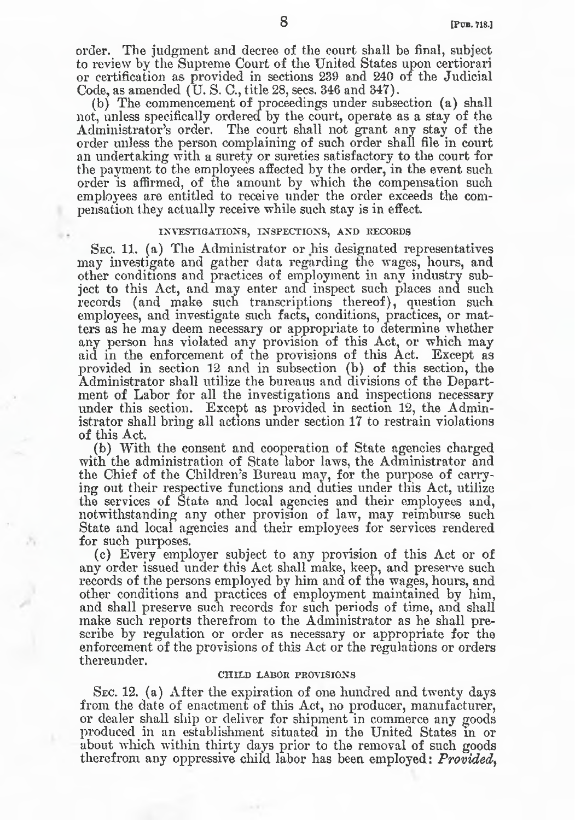order. The judgment and decree of the court shall be final, subject to review by the Supreme Court of the United States upon certiorari or certification as provided in sections 239 and 240 of the Judicial Code, as amended (U. S. C., title 28, secs. 346 and 347).

(b) The commencement of proceedings under subsection (a) shall not, unless specifically ordered by the court, operate as a stay of the Administrator's order. The court shall not grant any stay of the order unless the person complaining of such order shall file in court an undertaking with a surety or sureties satisfactory to the court for the payment to the employees affected by the order, in the event such order is affirmed, of the amount by which the compensation such employees are entitled to receive under the order exceeds the compensation they actually receive while such stay is in effect

#### **INVESTIGATIONS, INSPECTIONS, AND RECORDS**

Sec. 11. (a) The Administrator or his designated representatives may investigate and gather data regarding the wages, hours, and other conditions and practices of employment in any industry subject to this Act, and may enter and inspect such places and such records (and make such transcriptions thereof), question such employees, and investigate such facts, conditions, practices, or matters as he may deem necessary or appropriate to determine whether any person has violated any provision of this Act, or which may aid in the enforcement of the provisions of this Act. Except as provided in section 12 and in subsection (b) of this section, the Administrator shall utilize the bureaus and divisions of the Department of Labor for all the investigations and inspections necessary under this section. Except as provided in section 12, the Administrator shall bring all actions under section 17 to restrain violations of this Act.

(b) With the consent and cooperation of State agencies charged with the administration of State labor laws, the Administrator and the Chief of the Children's Bureau may, for the purpose of carrying out their respective functions and duties under this Act, utilize the services of State and local agencies and their employees and, notwithstanding any other provision of law, may reimburse such State and local agencies and their employees for services rendered for such purposes.

(c) Every employer subject to any provision of this Act or of any order issued under this Act shall make, keep, and preserve such records of the persons employed by him and of the wages, hours, and other conditions and practices of employment maintained by him, and shall preserve such records for such periods of time, and shall make such reports therefrom to the Administrator as he shall prescribe by regulation or order as necessary or appropriate for the enforcement of the provisions of this Act or the regulations or orders thereunder.

#### **CHILD LABOR PROVISIONS**

Sec. 12. (a) After the expiration of one hundred and twenty days from the date of enactment of this Act, no producer, manufacturer, or dealer shall ship or deliver for shipment in commerce any goods produced in an establishment situated in the United States m or about which within thirty days prior to the removal of such goods therefrom any oppressive child labor has been employed: *Provided,*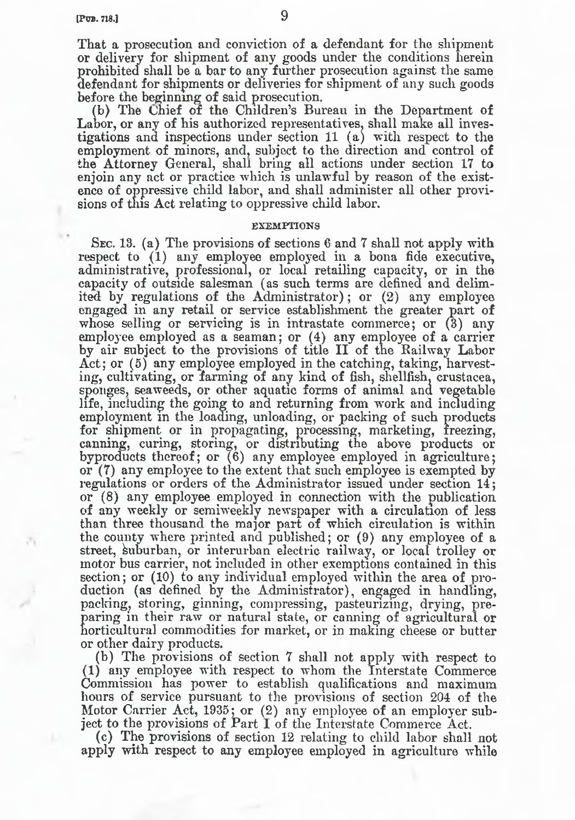That a prosecution and conviction of a defendant for the shipment or delivery for shipment of any goods under the conditions herein prohibited shall be a bar to any further prosecution against the same defendant for shipments or deliveries for shipment of any such goods before the beginning of said prosecution.

(b) The Chief of the Children's Bureau in the Department of Labor, or any of his authorized representatives, shall make all investigations and inspections under section 11 (a) with respect to the employment of minors, and, subject to the direction and control of the Attorney General, shall bring all actions under section 17 to enjoin any act or practice which is unlawful by reason of the existence of oppressive child labor, and shall administer all other provisions of this Act relating to oppressive child labor.

#### **EXEMPTIONS**

Sec. 13. (a) The provisions of sections 6 and 7 shall not apply with respect to (1) any employee employed in a bona fide executive, administrative, professional, or local retailing capacity, or in the capacity of outside salesman (as such terms are defined and delimited by regulations of the Administrator); or (2) any employee engaged in any retail or service establishment the greater part of whose selling or servicing is in intrastate commerce; or  $(3)$  any employee employed as a seaman; or (4) any employee of a carrier by air subject to the provisions of title II of the Railway Labor Act; or (5) any employee employed in the catching, taking, harvesting, cultivating, or farming of any kind of fish, shellfish, crustacea, sponges, seaweeds, or other aquatic forms of animal and vegetable life, including the going to and returning from work and including employment in the loading, unloading, or packing of such products for shipment or in propagating, processing, marketing, freezing, canning, curing, storing, or distributing the above products or byproducts thereof; or (6) any employee employed in agriculture; or (7) any employee to the extent that such employee is exempted by regulations or orders of the Administrator issued under section 14; or (8) any employee employed in connection with the publication of any weekly or semiweekly newspaper with a circulation of less than three thousand the major part of which circulation is within the county where printed and published; or (9) any employee of a street, Suburban, or interurban electric railway, or local trolley or motor bus carrier, not included in other exemptions contained in this section; or (10) to any individual employed within the area of production (as defined by the Administrator), engaged in handling, packing, storing, ginning, compressing, pasteurizing, drying, preparing in their raw or natural state, or canning of agricultural or horticultural commodities for market, or in making cheese or butter or other dairy products.

(b) The provisions of section 7 shall not apply with respect to (1) any employee with respect to whom the Interstate Commerce Commission has power to establish qualifications and maximum hours of service pursuant to the provisions of section 204 of the Motor Carrier Act, 1935; or (2) any employee of an employer subject to the provisions of Part I of the Interstate Commerce Act.

(c) The provisions of section 12 relating to child labor shall not apply with respect to any employee employed in agriculture while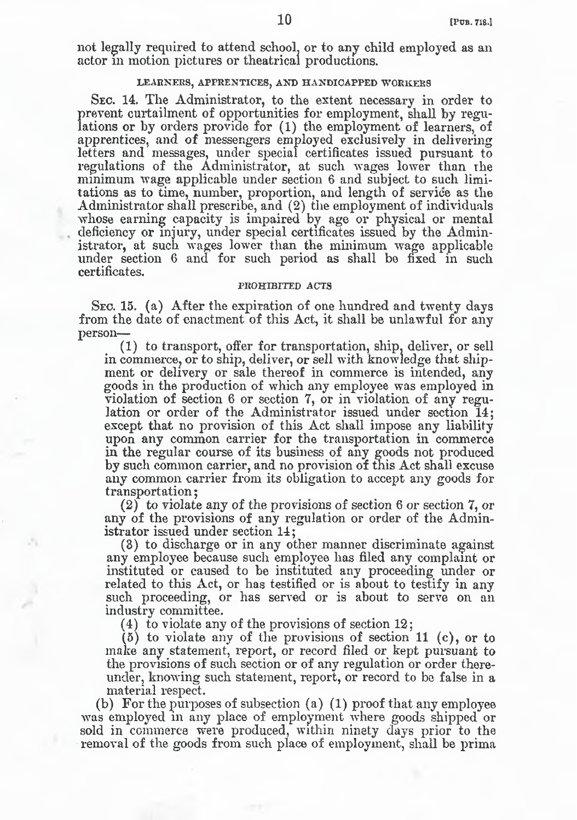not legally required to attend school, or to any child employed as an actor in motion pictures or theatrical productions.

## **LEARNERS, APPRENTICES, AND HANDICAPPED WORKERS**

Sec. 14. The Administrator, to the extent necessary in order to prevent curtailment of opportunities for employment, shall by regulations or by orders provide for (1) the employment of learners, of apprentices, and of messengers employed exclusively in delivering letters and messages, under special certificates issued pursuant to regulations of the Administrator, at such wages lower than rhe minimum wage applicable under section 6 and subject to such limitations as to time, number, proportion, and length of service as the Administrator shall prescribe, and (2) the employment of individuals whose earning capacity is impaired by age or physical or mental deficiency or injury, under special certificates issued by the Administrator, at such wages lower than the minimum wage applicable under section 6 and for such period as shall be fixed in such certificates.

#### prohibited acts

Sec. 15. (a) After the expiration of one hundred and twenty days from the date of enactment of this Act, it shall be unlawful for any person—

(1) to transport, offer for transportation, ship, deliver, or sell in commerce, or to ship, deliver, or sell with knowledge that shipment or delivery or sale thereof in commerce is intended, any goods in the production of which any employee was employed in violation of section 6 or section 7, or in violation of any regulation or order of the Administrator issued under section 14; except that no provision of this Act shall impose any liability upon any common carrier for the transportation in commerce in the regular course of its business of any goods not produced by such common carrier, and no provision of this Act shall excuse any common carrier from its obligation to accept any goods for transportation;

(2) to violate any of the provisions of section 6 or section 7, or any of the provisions of any regulation or order of the Administrator issued under section 14;

(3) to discharge or in any other manner discriminate against any employee because such employee has filed any complaint or instituted or caused to be instituted any proceeding under or related to this Act, or has testified or is about to testify in any such proceeding, or has served or is about to serve on an industry committee.

(4) to violate any of the provisions of section 12;

(5) to violate any of the provisions of section 11 (c), or to make any statement, report, or record filed or kept pursuant to the provisions of such section or of any regulation or order thereunder, knowing such statement, report, or record to be false in a material respect.

(b) For the purposes of subsection (a) (1) proof that any employee was employed in any place of employment where goods shipped or sold in commerce were produced, within ninety days prior to the removal of the goods from such place of employment, shall be prima